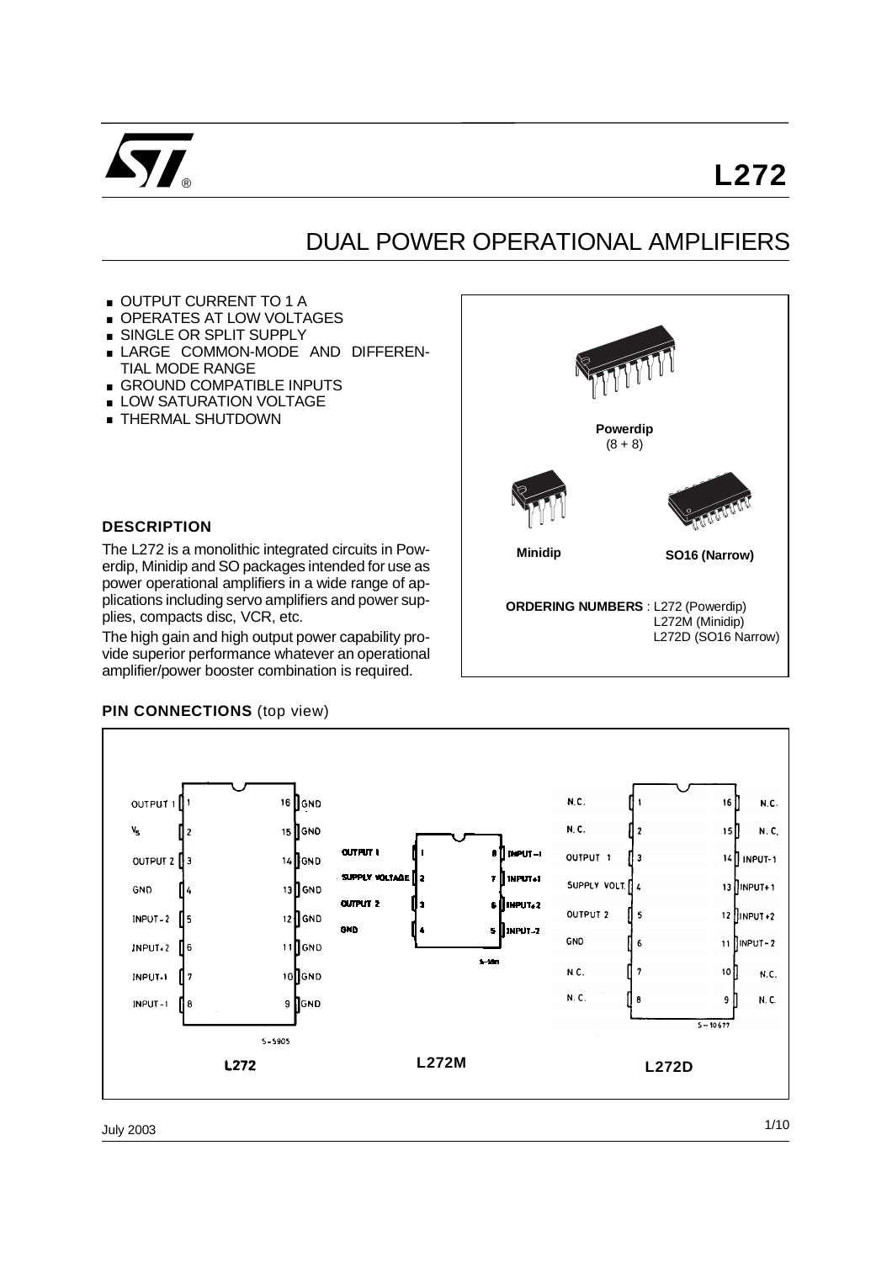

# **L272**

## DUAL POWER OPERATIONAL AMPLIFIERS

- . OUTPUT CURRENT TO 1 A
- OPERATES AT LOW VOLTAGES
- SINGLE OR SPLIT SUPPLY
- . LARGE COMMON-MODE AND DIFFEREN-TIAL MODE RANGE ■ LARGE COMMON-MODE AND<br>TIAL MODE RANGE<br>■ GROUND COMPATIBLE INPUTS
- TIAL MODE RANGE<br>■ GROUND COMPATIBLE INPU<br>■ LOW SATURATION VOLTAGE<br>■ LIFEMAL SULITEOWN
- LOW SATURATION VOLTAGE
- 

#### **DESCRIPTION**

The L272 is a monolithic integrated circuits in Powerdip, Minidip and SO packages intended for use as power operational amplifiers in a wide range of applications including servo amplifiers and power supplies, compacts disc, VCR, etc.

The high gain and high output power capability provide superior performance whatever an operational amplifier/power booster combination is required.





## **PIN CONNECTIONS** (top view)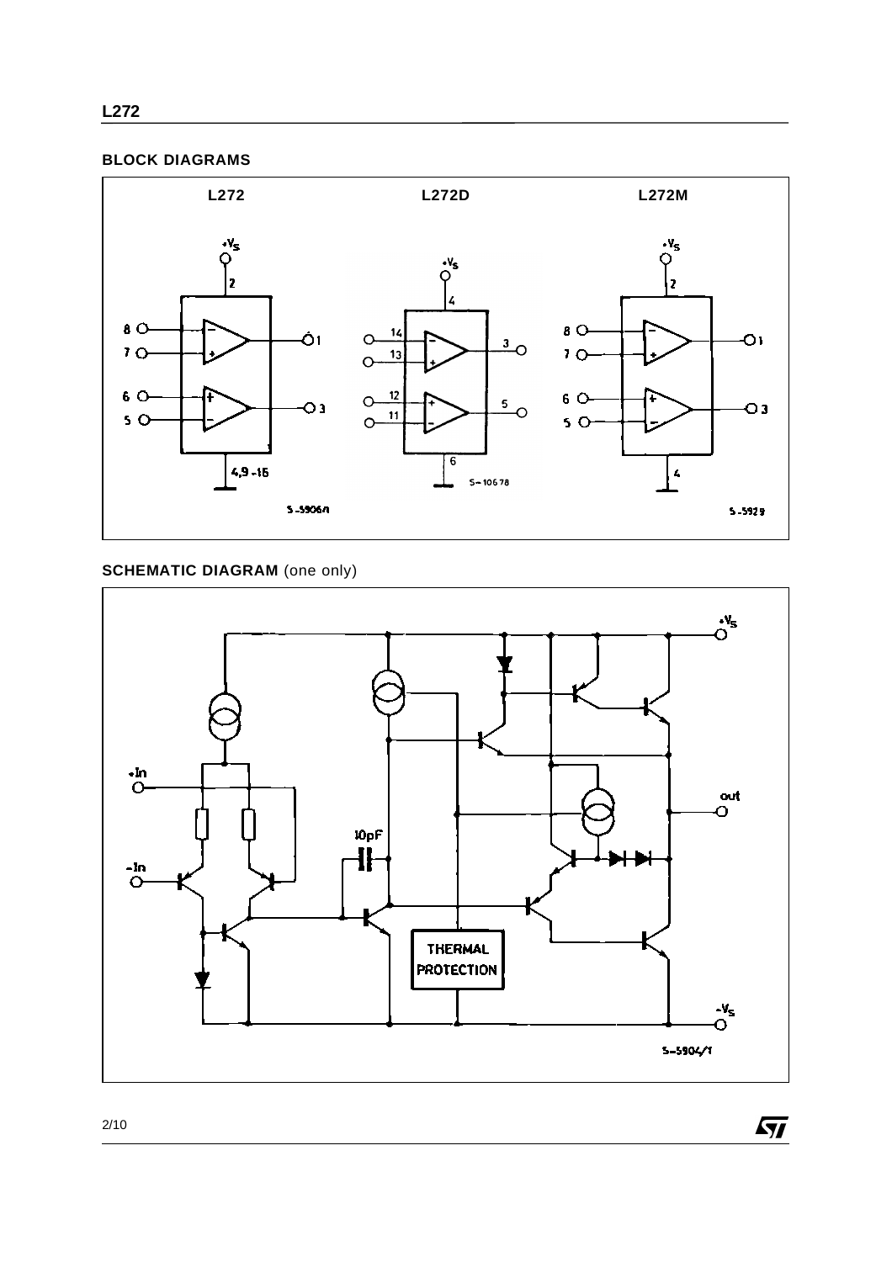### **L272**

### **BLOCK DIAGRAMS**



## **SCHEMATIC DIAGRAM** (one only)



 $\sqrt{27}$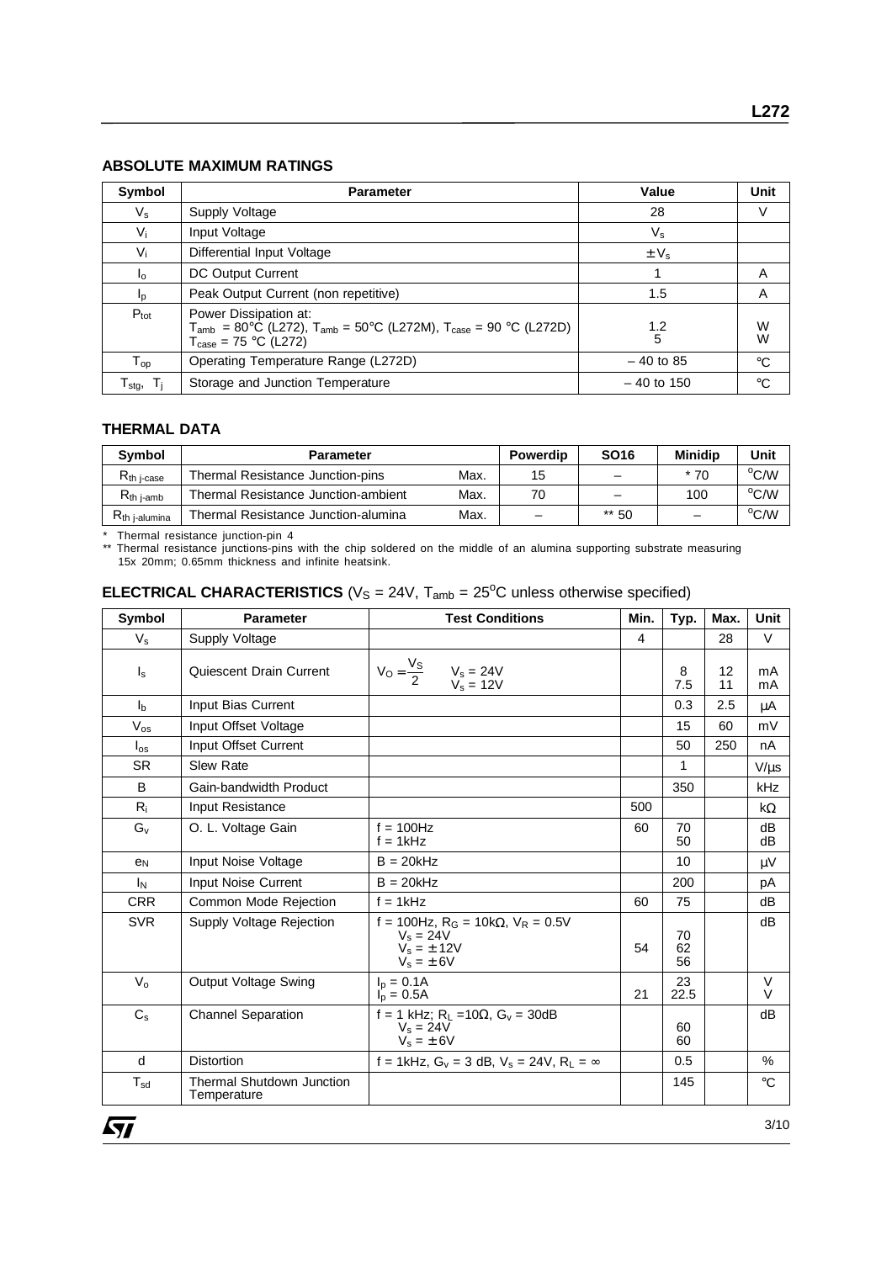#### **ABSOLUTE MAXIMUM RATINGS**

| Symbol                      | <b>Parameter</b>                                                                                                                                   | Value        | Unit        |
|-----------------------------|----------------------------------------------------------------------------------------------------------------------------------------------------|--------------|-------------|
| $V_{\rm s}$                 | Supply Voltage                                                                                                                                     | 28           | V           |
| $V_i$                       | Input Voltage                                                                                                                                      | $V_{\rm s}$  |             |
| $V_i$                       | Differential Input Voltage                                                                                                                         | $\pm V_s$    |             |
| $I_{\rm O}$                 | DC Output Current                                                                                                                                  |              | A           |
| 1 <sub>p</sub>              | Peak Output Current (non repetitive)                                                                                                               | 1.5          | A           |
| $P_{\text{tot}}$            | Power Dissipation at:<br>$T_{amb}$ = 80°C (L272), $T_{amb}$ = 50°C (L272M), $T_{case}$ = 90 °C (L272D)<br>$T_{\text{case}} = 75 \text{ °C}$ (L272) | 1.2<br>5     | W<br>W      |
| $T_{op}$                    | Operating Temperature Range (L272D)                                                                                                                | $-40$ to 85  | $^{\circ}C$ |
| ${\mathsf T}_{\text{stg}},$ | Storage and Junction Temperature                                                                                                                   | $-40$ to 150 | $^{\circ}C$ |

#### **THERMAL DATA**

| <b>Symbol</b>          | <b>Parameter</b>                    |      | Powerdip                 | SO <sub>16</sub>         | <b>Minidip</b>           | Unit           |
|------------------------|-------------------------------------|------|--------------------------|--------------------------|--------------------------|----------------|
| $R_{th}$ j-case        | Thermal Resistance Junction-pins    | Max. | 15                       | $\qquad \qquad$          | $*70$                    | $^{\circ}$ C/W |
| $R_{th\ i\text{-amb}}$ | Thermal Resistance Junction-ambient | Max. | 70                       | $\overline{\phantom{0}}$ | 100                      | $\rm ^{o}$ C/W |
| $R_{th}$ i-alumina     | Thermal Resistance Junction-alumina | Max. | $\overline{\phantom{m}}$ | ** 50                    | $\overline{\phantom{m}}$ | $\rm{^o}$ C/W  |

\* Thermal resistance junction-pin 4

\*\* Thermal resistance junctions-pins with the chip soldered on the middle of an alumina supporting substrate measuring 15x 20mm; 0.65mm thickness and infinite heatsink.

## **ELECTRICAL CHARACTERISTICS** ( $V_s = 24V$ ,  $T_{amb} = 25^{\circ}$ C unless otherwise specified)

| Symbol                    | <b>Parameter</b>                                | <b>Test Conditions</b>                                                                             | Min. | Typ.           | Max.     | <b>Unit</b>   |
|---------------------------|-------------------------------------------------|----------------------------------------------------------------------------------------------------|------|----------------|----------|---------------|
| $V_{\rm s}$               | Supply Voltage                                  |                                                                                                    | 4    |                | 28       | V             |
| $I_{\rm s}$               | Quiescent Drain Current                         | $V_O = \frac{V_S}{2}$<br>$V_s = 24V$<br>$V_s = 12V$                                                |      | 8<br>7.5       | 12<br>11 | mA<br>mA      |
| $\mathsf{I}_{\mathsf{h}}$ | Input Bias Current                              |                                                                                                    |      | 0.3            | 2.5      | μA            |
| $V_{os}$                  | Input Offset Voltage                            |                                                                                                    |      | 15             | 60       | mV            |
| $I_{OS}$                  | Input Offset Current                            |                                                                                                    |      | 50             | 250      | nA            |
| <b>SR</b>                 | <b>Slew Rate</b>                                |                                                                                                    |      | 1              |          | $V/\mu s$     |
| B                         | Gain-bandwidth Product                          |                                                                                                    |      | 350            |          | <b>kHz</b>    |
| $R_i$                     | Input Resistance                                |                                                                                                    | 500  |                |          | $k\Omega$     |
| $G_v$                     | O. L. Voltage Gain                              | $f = 100$ Hz<br>$f = 1kHz$                                                                         | 60   | 70<br>50       |          | dB<br>dB      |
| e <sub>N</sub>            | Input Noise Voltage                             | $B = 20kHz$                                                                                        |      | 10             |          | μV            |
| I <sub>N</sub>            | Input Noise Current                             | $B = 20kHz$                                                                                        |      | 200            |          | рA            |
| <b>CRR</b>                | Common Mode Rejection                           | $f = 1kHz$                                                                                         | 60   | 75             |          | dB            |
| <b>SVR</b>                | Supply Voltage Rejection                        | f = 100Hz, $R_G$ = 10k $\Omega$ , $V_R$ = 0.5V<br>$V_s = 24V$<br>$V_s = \pm 12V$<br>$V_s = \pm 6V$ | 54   | 70<br>62<br>56 |          | dB            |
| $V_{o}$                   | Output Voltage Swing                            | $I_p = 0.1A$<br>$I_n = 0.5A$                                                                       | 21   | 23<br>22.5     |          | V<br>$\vee$   |
| $C_{\rm s}$               | <b>Channel Separation</b>                       | f = 1 kHz; $R_L = 10\Omega$ , $G_v = 30dB$<br>$V_s = 24V$<br>$V_s = \pm 6V$                        |      | 60<br>60       |          | dB            |
| d                         | <b>Distortion</b>                               | f = 1kHz, $G_v$ = 3 dB, $V_s$ = 24V, $R_1 = \infty$                                                |      | 0.5            |          | $\frac{0}{0}$ |
| $T_{sd}$                  | <b>Thermal Shutdown Junction</b><br>Temperature |                                                                                                    |      | 145            |          | $^{\circ}C$   |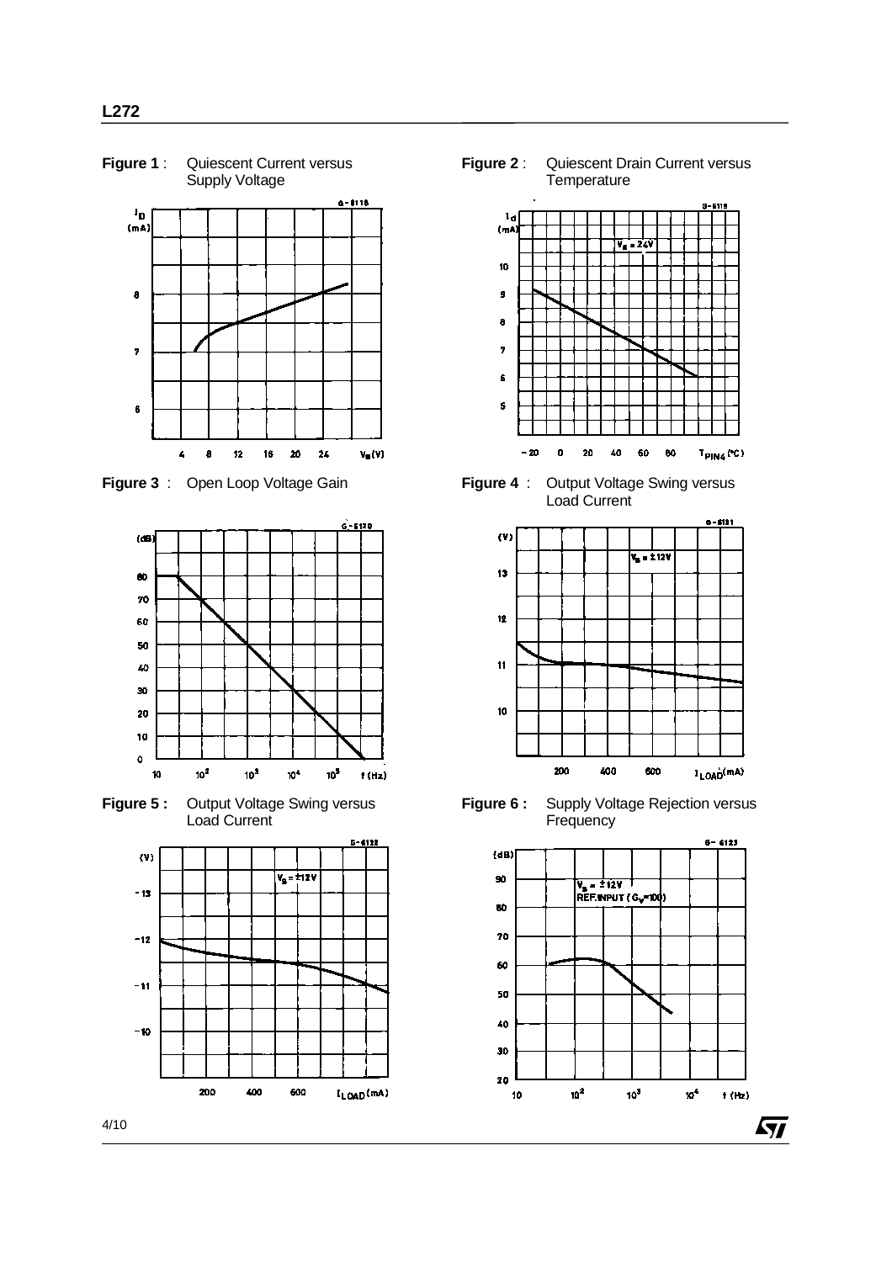Supply Voltage  $6 - 6118$  $I_D$  $(mA)$  $\bullet$  $\overline{7}$  $\boldsymbol{6}$  $V_{S}(V)$  $\pmb{\zeta}$  $\bullet$  $12$  $16$ 20  $\overline{24}$ 

**Figure 1** : Quiescent Current versus



**Figure 5:** Output Voltage Swing versus Load Current



**Figure 2** : Quiescent Drain Current versus **Temperature** 



**Figure 3** : Open Loop Voltage Gain **Figure 4** : Output Voltage Swing versus Load Current



**Figure 6 :** Supply Voltage Rejection versus **Frequency** 

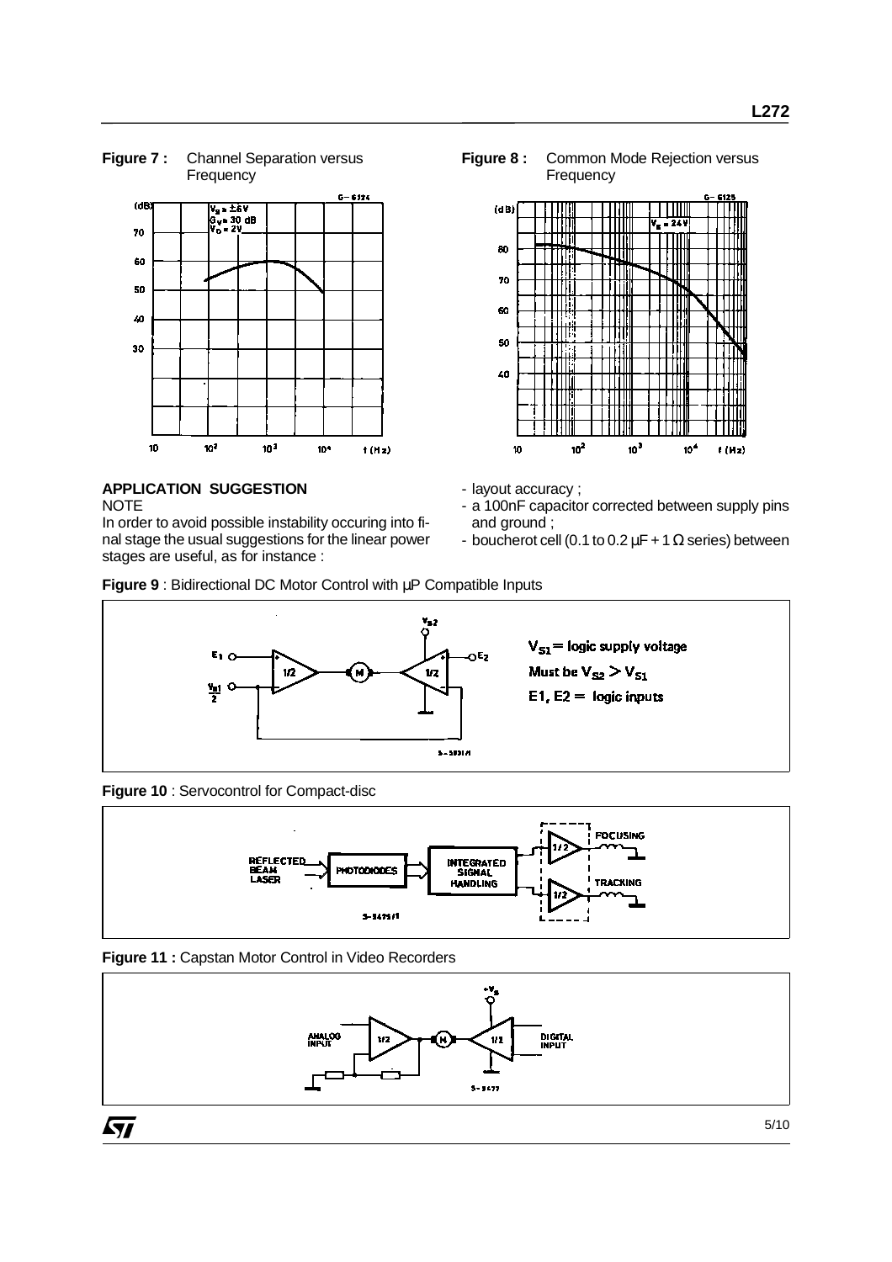

#### **Figure 7 :** Channel Separation versus **Frequency**

#### **APPLICATION SUGGESTION**

**NOTE** 

In order to avoid possible instability occuring into final stage the usual suggestions for the linear power stages are useful, as for instance :

**Figure 8 :** Common Mode Rejection versus Frequency



- layout accuracy ;
- a 100nF capacitor corrected between supply pins and ground ;
- boucherot cell (0.1 to 0.2  $\mu$ F + 1  $\Omega$  series) between









#### **Figure 11 :** Capstan Motor Control in Video Recorders

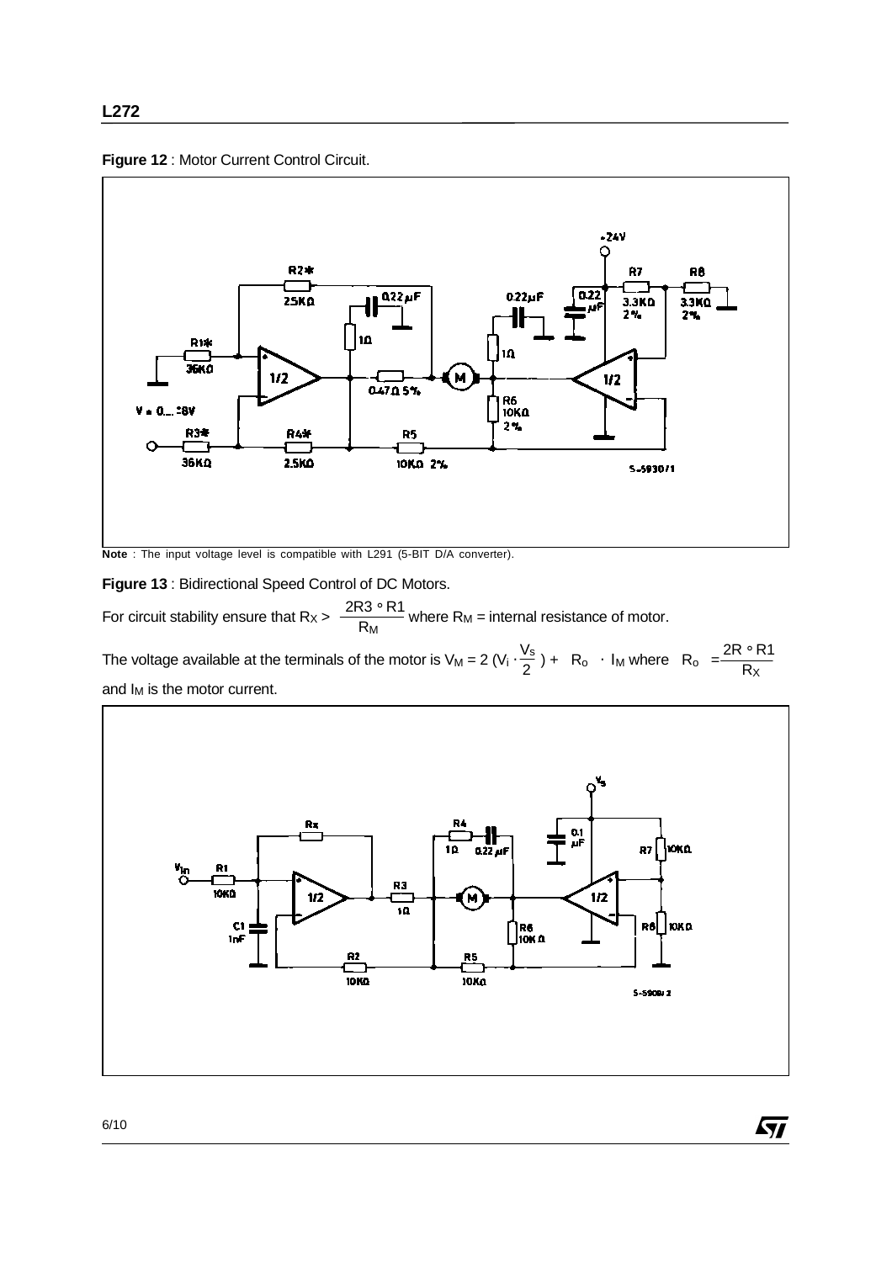



**Note** : The input voltage level is compatible with L291 (5-BIT D/A converter).

**Figure 13** : Bidirectional Speed Control of DC Motors.

For circuit stability ensure that  $R_X > \frac{2R3 \cdot R1}{R_M}$  where  $R_M$  = internal resistance of motor.

The voltage available at the terminals of the motor is V<sub>M</sub> = 2 (V<sub>i</sub> ·  $\frac{V_s}{2}$ ) +  $|R_o|$  · I<sub>M</sub> where  $|R_o| = \frac{2R \cdot R1}{R_x}$ and  $I_M$  is the motor current.

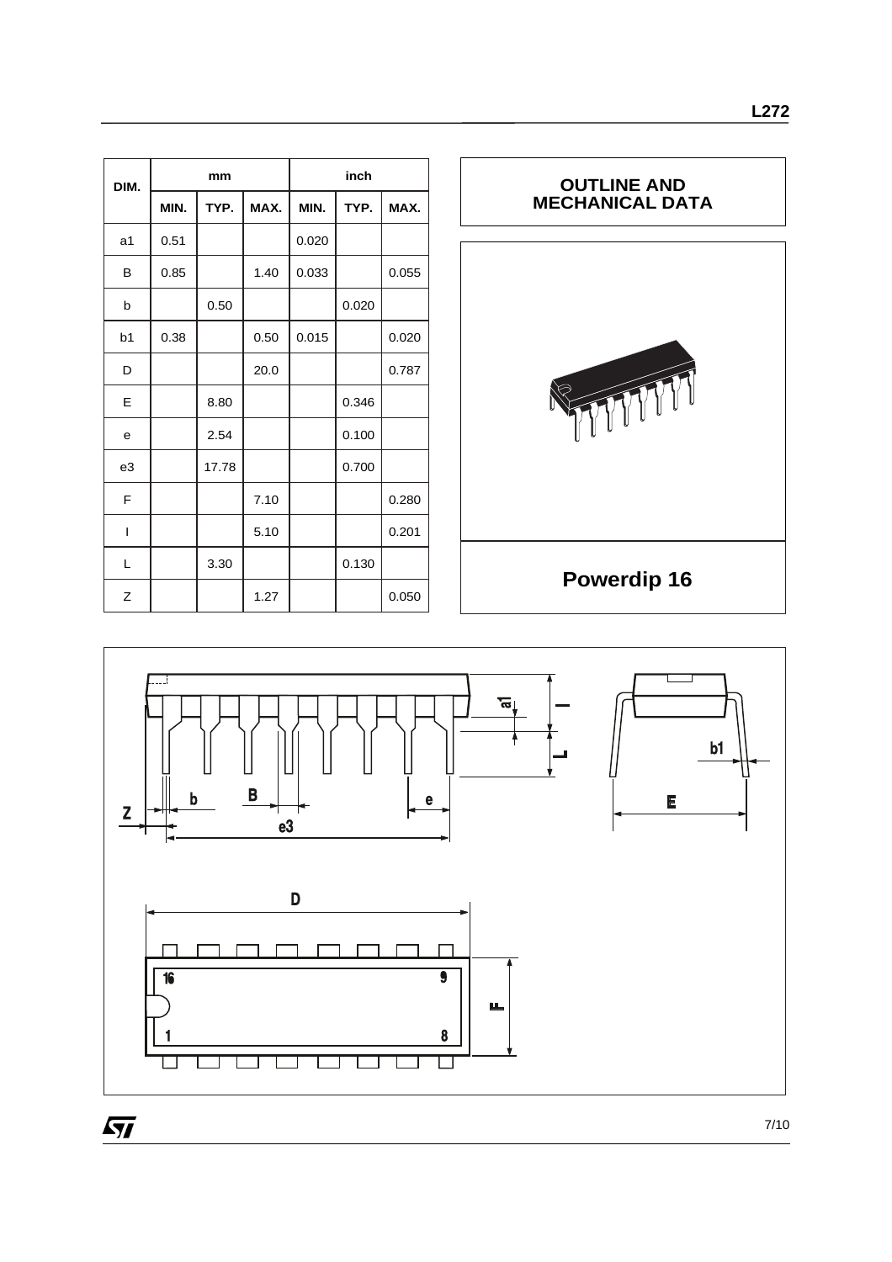| DIM.           |      | mm    |      | inch  |       |       |
|----------------|------|-------|------|-------|-------|-------|
|                | MIN. | TYP.  | MAX. | MIN.  | TYP.  | MAX.  |
| a1             | 0.51 |       |      | 0.020 |       |       |
| в              | 0.85 |       | 1.40 | 0.033 |       | 0.055 |
| b              |      | 0.50  |      |       | 0.020 |       |
| b <sub>1</sub> | 0.38 |       | 0.50 | 0.015 |       | 0.020 |
| D              |      |       | 20.0 |       |       | 0.787 |
| E              |      | 8.80  |      |       | 0.346 |       |
| e              |      | 2.54  |      |       | 0.100 |       |
| e3             |      | 17.78 |      |       | 0.700 |       |
| F              |      |       | 7.10 |       |       | 0.280 |
| T              |      |       | 5.10 |       |       | 0.201 |
| L              |      | 3.30  |      |       | 0.130 |       |
| Ζ              |      |       | 1.27 |       |       | 0.050 |





 $\sqrt{M}$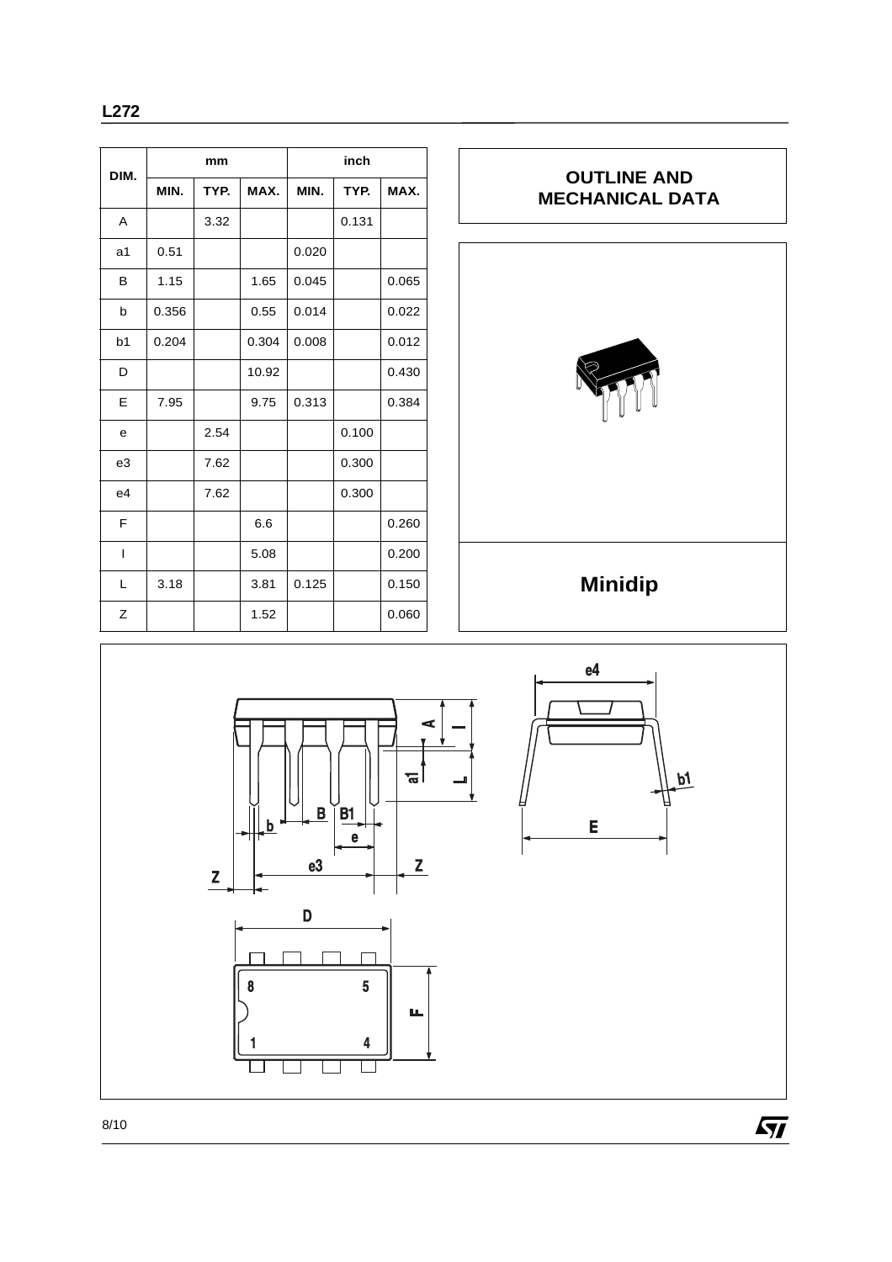**L272**

| DIM.           |       | mm   |       | inch  |       |       |
|----------------|-------|------|-------|-------|-------|-------|
|                | MIN.  | TYP. | MAX.  | MIN.  | TYP.  | MAX.  |
| A              |       | 3.32 |       |       | 0.131 |       |
| a1             | 0.51  |      |       | 0.020 |       |       |
| в              | 1.15  |      | 1.65  | 0.045 |       | 0.065 |
| b              | 0.356 |      | 0.55  | 0.014 |       | 0.022 |
| b <sub>1</sub> | 0.204 |      | 0.304 | 0.008 |       | 0.012 |
| D              |       |      | 10.92 |       |       | 0.430 |
| E              | 7.95  |      | 9.75  | 0.313 |       | 0.384 |
| e              |       | 2.54 |       |       | 0.100 |       |
| e3             |       | 7.62 |       |       | 0.300 |       |
| e4             |       | 7.62 |       |       | 0.300 |       |
| F              |       |      | 6.6   |       |       | 0.260 |
| I              |       |      | 5.08  |       |       | 0.200 |
| L              | 3.18  |      | 3.81  | 0.125 |       | 0.150 |
| Z              |       |      | 1.52  |       |       | 0.060 |



 $\sqrt{27}$ 

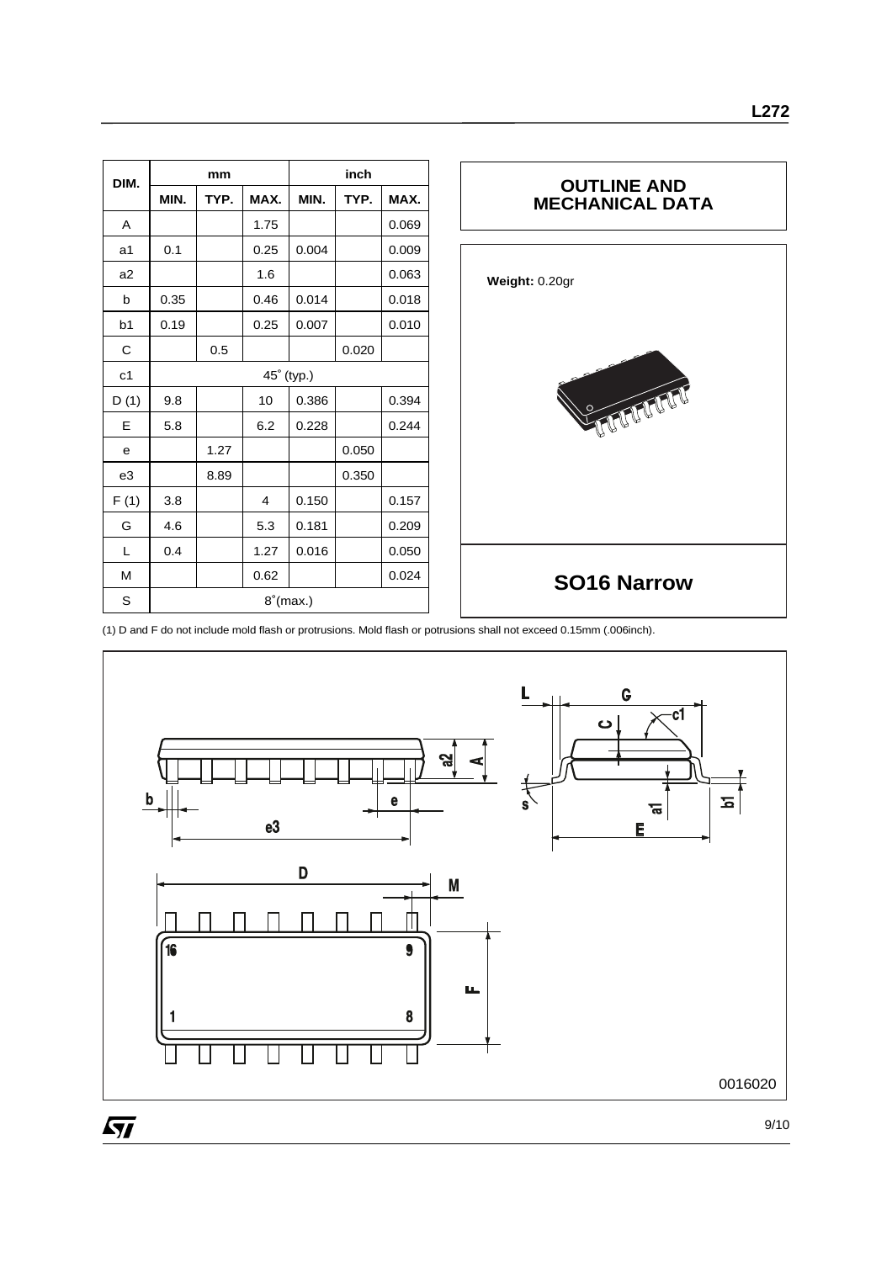| DIM.           |             | mm   |      |            | inch  |       |
|----------------|-------------|------|------|------------|-------|-------|
|                | MIN.        | TYP. | MAX. | MIN.       | TYP.  | MAX.  |
| A              |             |      | 1.75 |            |       | 0.069 |
| a1             | 0.1         |      | 0.25 | 0.004      |       | 0.009 |
| a2             |             |      | 1.6  |            |       | 0.063 |
| b              | 0.35        |      | 0.46 | 0.014      |       | 0.018 |
| b1             | 0.19        |      | 0.25 | 0.007      |       | 0.010 |
| C              |             | 0.5  |      |            | 0.020 |       |
| c <sub>1</sub> |             |      |      | 45° (typ.) |       |       |
| D(1)           | 9.8         |      | 10   | 0.386      |       | 0.394 |
| E              | 5.8         |      | 6.2  | 0.228      |       | 0.244 |
| e              |             | 1.27 |      |            | 0.050 |       |
| e3             |             | 8.89 |      |            | 0.350 |       |
| F(1)           | 3.8         |      | 4    | 0.150      |       | 0.157 |
| G              | 4.6         |      | 5.3  | 0.181      |       | 0.209 |
| L              | 0.4         |      | 1.27 | 0.016      |       | 0.050 |
| M              |             |      | 0.62 |            |       | 0.024 |
| S              | $8°$ (max.) |      |      |            |       |       |



(1) D and F do not include mold flash or protrusions. Mold flash or potrusions shall not exceed 0.15mm (.006inch).



**L272**